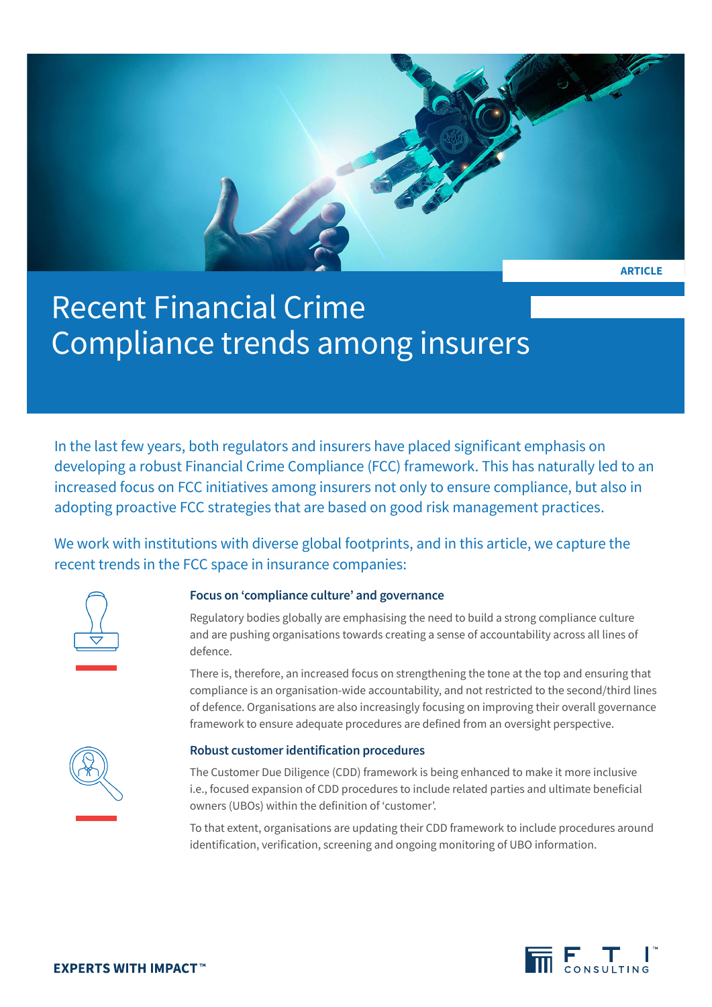

# Recent Financial Crime Compliance trends among insurers

In the last few years, both regulators and insurers have placed significant emphasis on developing a robust Financial Crime Compliance (FCC) framework. This has naturally led to an increased focus on FCC initiatives among insurers not only to ensure compliance, but also in adopting proactive FCC strategies that are based on good risk management practices.

We work with institutions with diverse global footprints, and in this article, we capture the recent trends in the FCC space in insurance companies:



## **Focus on 'compliance culture' and governance**

Regulatory bodies globally are emphasising the need to build a strong compliance culture and are pushing organisations towards creating a sense of accountability across all lines of defence.

There is, therefore, an increased focus on strengthening the tone at the top and ensuring that compliance is an organisation-wide accountability, and not restricted to the second/third lines of defence. Organisations are also increasingly focusing on improving their overall governance framework to ensure adequate procedures are defined from an oversight perspective.



### **Robust customer identification procedures**

The Customer Due Diligence (CDD) framework is being enhanced to make it more inclusive i.e., focused expansion of CDD procedures to include related parties and ultimate beneficial owners (UBOs) within the definition of 'customer'.

To that extent, organisations are updating their CDD framework to include procedures around identification, verification, screening and ongoing monitoring of UBO information.